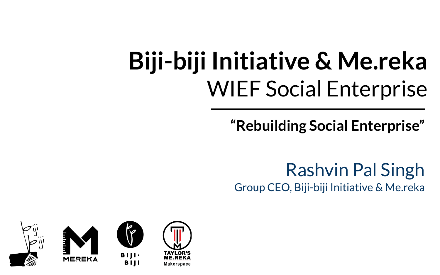## **Biji-biji Initiative & Me.reka** WIEF Social Enterprise

**"Rebuilding Social Enterprise"**

Rashvin Pal Singh Group CEO, Biji-biji Initiative & Me.reka

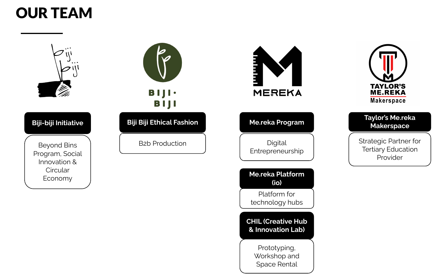## OUR TEAM



#### **Biji-biji Initiative**

Beyond Bins Program, Social Innovation & **Circular** 



B2b Production







#### **Taylor's Me.reka Makerspace**

Strategic Partner for Tertiary Education Provider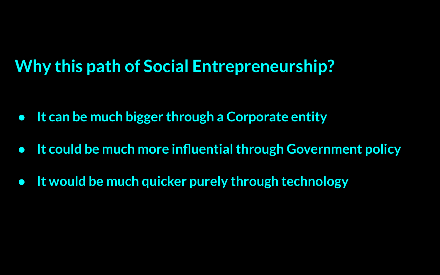## **Why this path of Social Entrepreneurship?**

- **● It can be much bigger through a Corporate entity**
- **● It could be much more influential through Government policy**
- **● It would be much quicker purely through technology**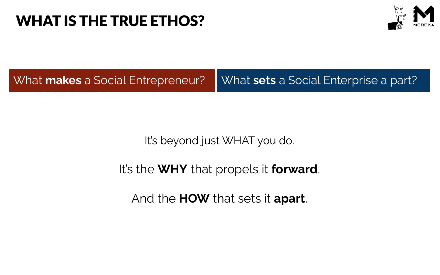### WHAT IS THE TRUE ETHOS?



What **makes** a Social Entrepreneur? V What sets a Social Enterprise a part?

It's beyond just WHAT you do.

It's the **WHY** that propels it **forward**.

And the **HOW** that sets it **apart**.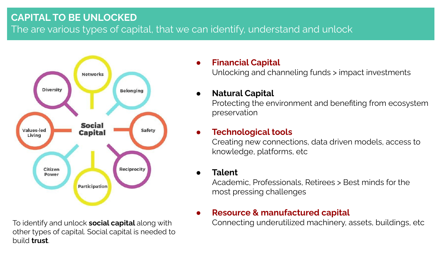#### **CAPITAL TO BE UNLOCKED** The are various types of capital, that we can identify, understand and unlock



To identify and unlock **social capital** along with other types of capital. Social capital is needed to build **trust**.

#### **● Financial Capital**

Unlocking and channeling funds > impact investments

#### **● Natural Capital**

Protecting the environment and benefiting from ecosystem preservation

#### **● Technological tools**

Creating new connections, data driven models, access to knowledge, platforms, etc

#### **● Talent**

Academic, Professionals, Retirees > Best minds for the most pressing challenges

#### **● Resource & manufactured capital**

Connecting underutilized machinery, assets, buildings, etc